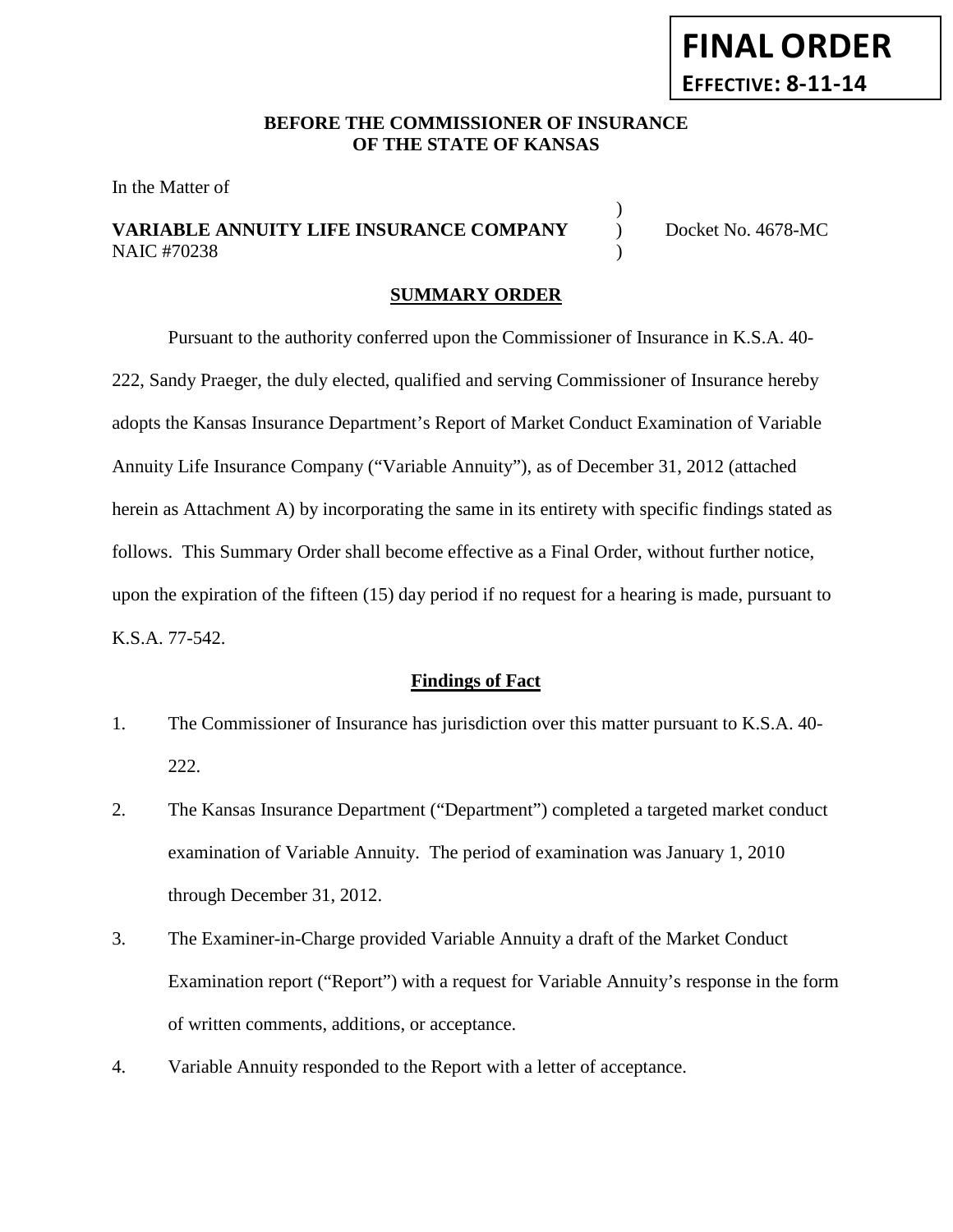# **FINAL ORDER EFFECTIVE: 8-11-14**

## **BEFORE THE COMMISSIONER OF INSURANCE OF THE STATE OF KANSAS**

In the Matter of

# **VARIABLE ANNUITY LIFE INSURANCE COMPANY** ) Docket No. 4678-MC NAIC #70238 (1992)

)

#### **SUMMARY ORDER**

Pursuant to the authority conferred upon the Commissioner of Insurance in K.S.A. 40- 222, Sandy Praeger, the duly elected, qualified and serving Commissioner of Insurance hereby adopts the Kansas Insurance Department's Report of Market Conduct Examination of Variable Annuity Life Insurance Company ("Variable Annuity"), as of December 31, 2012 (attached herein as Attachment A) by incorporating the same in its entirety with specific findings stated as follows. This Summary Order shall become effective as a Final Order, without further notice, upon the expiration of the fifteen (15) day period if no request for a hearing is made, pursuant to K.S.A. 77-542.

#### **Findings of Fact**

- 1. The Commissioner of Insurance has jurisdiction over this matter pursuant to K.S.A. 40- 222.
- 2. The Kansas Insurance Department ("Department") completed a targeted market conduct examination of Variable Annuity. The period of examination was January 1, 2010 through December 31, 2012.
- 3. The Examiner-in-Charge provided Variable Annuity a draft of the Market Conduct Examination report ("Report") with a request for Variable Annuity's response in the form of written comments, additions, or acceptance.
- 4. Variable Annuity responded to the Report with a letter of acceptance.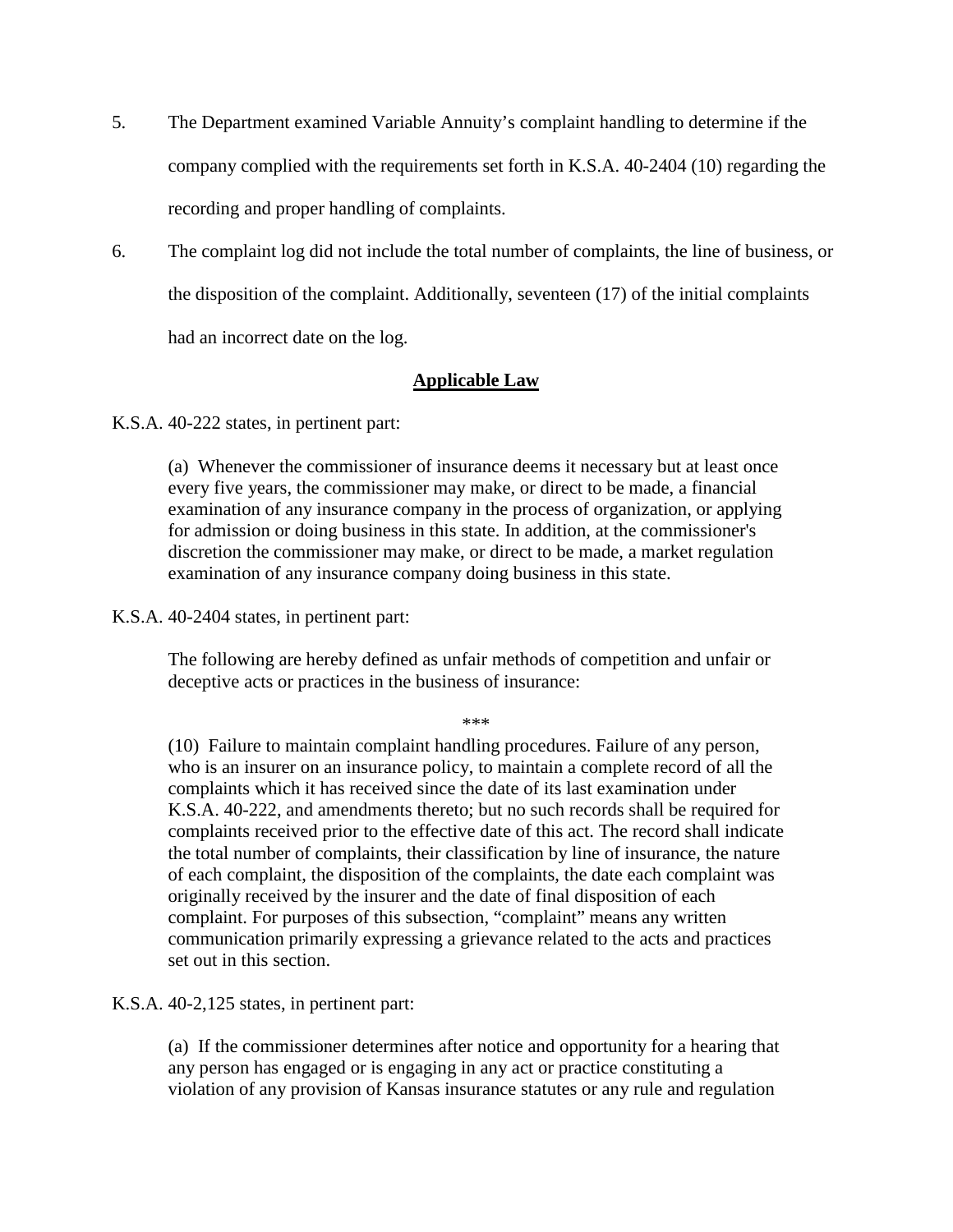- 5. The Department examined Variable Annuity's complaint handling to determine if the company complied with the requirements set forth in K.S.A. 40-2404 (10) regarding the recording and proper handling of complaints.
- 6. The complaint log did not include the total number of complaints, the line of business, or the disposition of the complaint. Additionally, seventeen (17) of the initial complaints had an incorrect date on the log.

## **Applicable Law**

K.S.A. 40-222 states, in pertinent part:

(a) Whenever the commissioner of insurance deems it necessary but at least once every five years, the commissioner may make, or direct to be made, a financial examination of any insurance company in the process of organization, or applying for admission or doing business in this state. In addition, at the commissioner's discretion the commissioner may make, or direct to be made, a market regulation examination of any insurance company doing business in this state.

K.S.A. 40-2404 states, in pertinent part:

The following are hereby defined as unfair methods of competition and unfair or deceptive acts or practices in the business of insurance:

\*\*\*

(10) Failure to maintain complaint handling procedures. Failure of any person, who is an insurer on an insurance policy, to maintain a complete record of all the complaints which it has received since the date of its last examination under K.S.A. 40-222, and amendments thereto; but no such records shall be required for complaints received prior to the effective date of this act. The record shall indicate the total number of complaints, their classification by line of insurance, the nature of each complaint, the disposition of the complaints, the date each complaint was originally received by the insurer and the date of final disposition of each complaint. For purposes of this subsection, "complaint" means any written communication primarily expressing a grievance related to the acts and practices set out in this section.

K.S.A. 40-2,125 states, in pertinent part:

(a) If the commissioner determines after notice and opportunity for a hearing that any person has engaged or is engaging in any act or practice constituting a violation of any provision of Kansas insurance statutes or any rule and regulation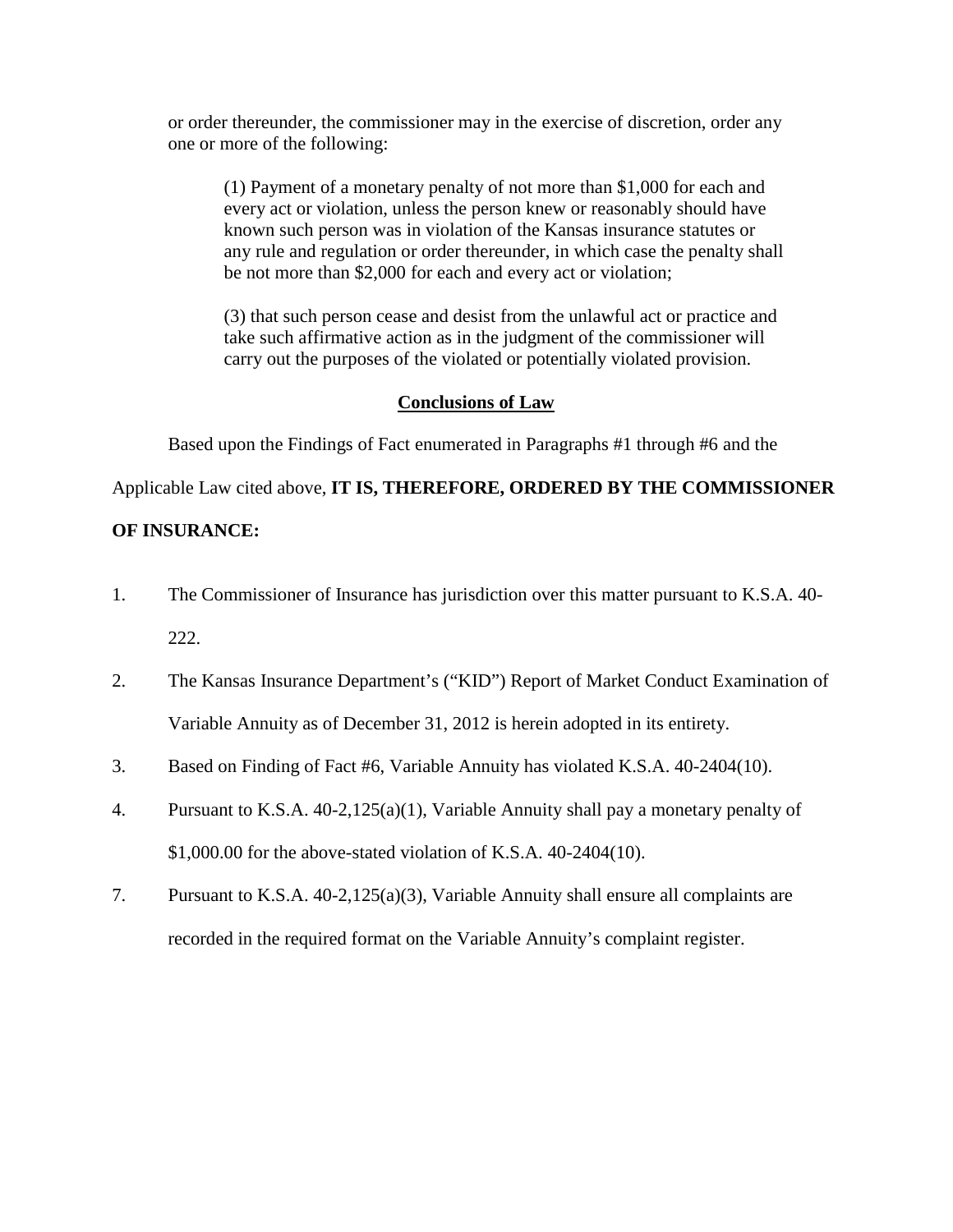or order thereunder, the commissioner may in the exercise of discretion, order any one or more of the following:

(1) Payment of a monetary penalty of not more than \$1,000 for each and every act or violation, unless the person knew or reasonably should have known such person was in violation of the Kansas insurance statutes or any rule and regulation or order thereunder, in which case the penalty shall be not more than \$2,000 for each and every act or violation;

(3) that such person cease and desist from the unlawful act or practice and take such affirmative action as in the judgment of the commissioner will carry out the purposes of the violated or potentially violated provision.

# **Conclusions of Law**

Based upon the Findings of Fact enumerated in Paragraphs #1 through #6 and the

Applicable Law cited above, **IT IS, THEREFORE, ORDERED BY THE COMMISSIONER** 

## **OF INSURANCE:**

- 1. The Commissioner of Insurance has jurisdiction over this matter pursuant to K.S.A. 40- 222.
- 2. The Kansas Insurance Department's ("KID") Report of Market Conduct Examination of Variable Annuity as of December 31, 2012 is herein adopted in its entirety.
- 3. Based on Finding of Fact #6, Variable Annuity has violated K.S.A. 40-2404(10).
- 4. Pursuant to K.S.A. 40-2,125(a)(1), Variable Annuity shall pay a monetary penalty of \$1,000.00 for the above-stated violation of K.S.A. 40-2404(10).
- 7. Pursuant to K.S.A. 40-2,125(a)(3), Variable Annuity shall ensure all complaints are recorded in the required format on the Variable Annuity's complaint register.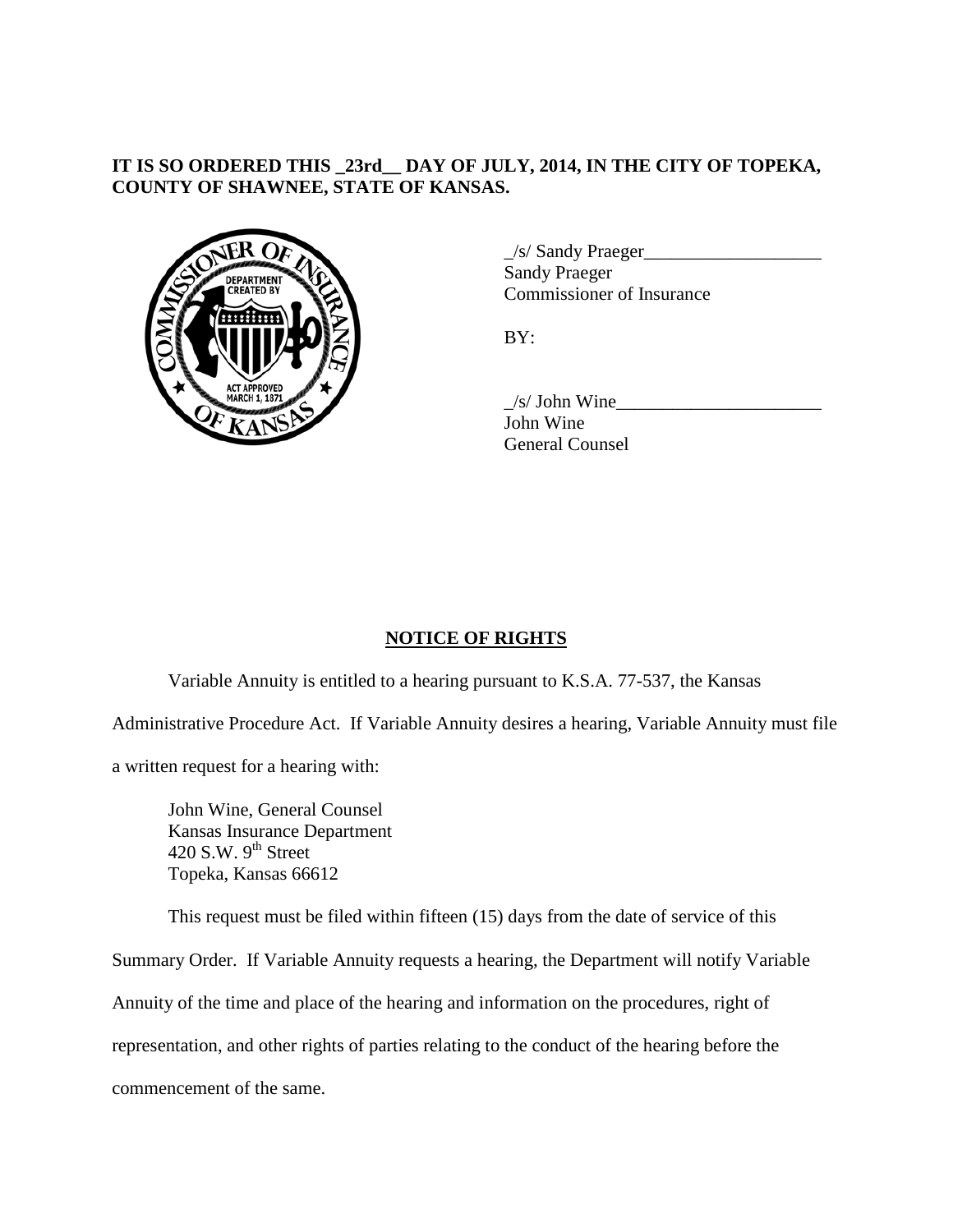# **IT IS SO ORDERED THIS \_23rd\_\_ DAY OF JULY, 2014, IN THE CITY OF TOPEKA, COUNTY OF SHAWNEE, STATE OF KANSAS.**



 $\angle$ s/ Sandy Praeger $\angle$ Sandy Praeger Commissioner of Insurance

 $BY:$ 

 $\angle$ s/ John Wine $\angle$ John Wine General Counsel

# **NOTICE OF RIGHTS**

Variable Annuity is entitled to a hearing pursuant to K.S.A. 77-537, the Kansas

Administrative Procedure Act. If Variable Annuity desires a hearing, Variable Annuity must file

a written request for a hearing with:

John Wine, General Counsel Kansas Insurance Department  $420$  S.W.  $9<sup>th</sup>$  Street Topeka, Kansas 66612

This request must be filed within fifteen (15) days from the date of service of this

Summary Order. If Variable Annuity requests a hearing, the Department will notify Variable

Annuity of the time and place of the hearing and information on the procedures, right of

representation, and other rights of parties relating to the conduct of the hearing before the

commencement of the same.